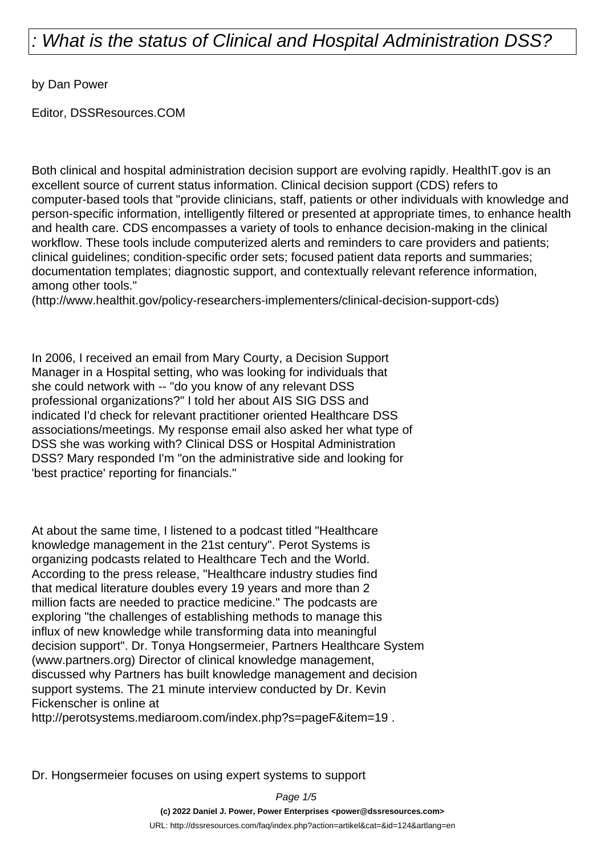by Dan Power

Editor, DSSResources.COM

Both clinical and hospital administration decision support are evolving rapidly. HealthIT.gov is an excellent source of current status information. Clinical decision support (CDS) refers to computer-based tools that "provide clinicians, staff, patients or other individuals with knowledge and person-specific information, intelligently filtered or presented at appropriate times, to enhance health and health care. CDS encompasses a variety of tools to enhance decision-making in the clinical workflow. These tools include computerized alerts and reminders to care providers and patients; clinical guidelines; condition-specific order sets; focused patient data reports and summaries; documentation templates; diagnostic support, and contextually relevant reference information, among other tools."

(http://www.healthit.gov/policy-researchers-implementers/clinical-decision-support-cds)

In 2006, I received an email from Mary Courty, a Decision Support Manager in a Hospital setting, who was looking for individuals that she could network with -- "do you know of any relevant DSS professional organizations?" I told her about AIS SIG DSS and indicated I'd check for relevant practitioner oriented Healthcare DSS associations/meetings. My response email also asked her what type of DSS she was working with? Clinical DSS or Hospital Administration DSS? Mary responded I'm "on the administrative side and looking for 'best practice' reporting for financials."

At about the same time, I listened to a podcast titled "Healthcare knowledge management in the 21st century". Perot Systems is organizing podcasts related to Healthcare Tech and the World. According to the press release, "Healthcare industry studies find that medical literature doubles every 19 years and more than 2 million facts are needed to practice medicine." The podcasts are exploring "the challenges of establishing methods to manage this influx of new knowledge while transforming data into meaningful decision support". Dr. Tonya Hongsermeier, Partners Healthcare System (www.partners.org) Director of clinical knowledge management, discussed why Partners has built knowledge management and decision support systems. The 21 minute interview conducted by Dr. Kevin Fickenscher is online at

http://perotsystems.mediaroom.com/index.php?s=pageF&item=19.

Dr. Hongsermeier focuses on using expert systems to support

Page 1/5

**(c) 2022 Daniel J. Power, Power Enterprises <power@dssresources.com>**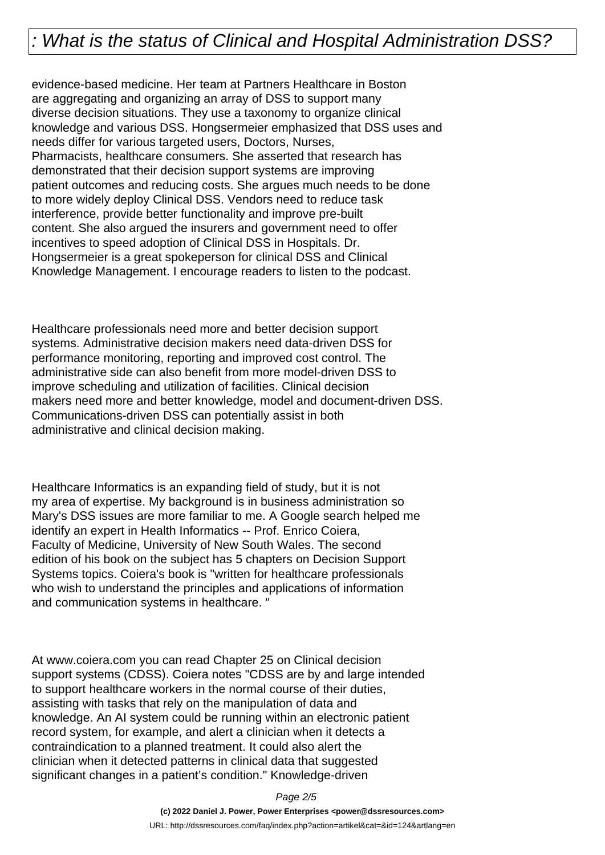evidence-based medicine. Her team at Partners Healthcare in Boston are aggregating and organizing an array of DSS to support many diverse decision situations. They use a taxonomy to organize clinical knowledge and various DSS. Hongsermeier emphasized that DSS uses and needs differ for various targeted users, Doctors, Nurses, Pharmacists, healthcare consumers. She asserted that research has demonstrated that their decision support systems are improving patient outcomes and reducing costs. She argues much needs to be done to more widely deploy Clinical DSS. Vendors need to reduce task interference, provide better functionality and improve pre-built content. She also argued the insurers and government need to offer incentives to speed adoption of Clinical DSS in Hospitals. Dr. Hongsermeier is a great spokeperson for clinical DSS and Clinical Knowledge Management. I encourage readers to listen to the podcast.

Healthcare professionals need more and better decision support systems. Administrative decision makers need data-driven DSS for performance monitoring, reporting and improved cost control. The administrative side can also benefit from more model-driven DSS to improve scheduling and utilization of facilities. Clinical decision makers need more and better knowledge, model and document-driven DSS. Communications-driven DSS can potentially assist in both administrative and clinical decision making.

Healthcare Informatics is an expanding field of study, but it is not my area of expertise. My background is in business administration so Mary's DSS issues are more familiar to me. A Google search helped me identify an expert in Health Informatics -- Prof. Enrico Coiera, Faculty of Medicine, University of New South Wales. The second edition of his book on the subject has 5 chapters on Decision Support Systems topics. Coiera's book is "written for healthcare professionals who wish to understand the principles and applications of information and communication systems in healthcare. "

At www.coiera.com you can read Chapter 25 on Clinical decision support systems (CDSS). Coiera notes "CDSS are by and large intended to support healthcare workers in the normal course of their duties, assisting with tasks that rely on the manipulation of data and knowledge. An AI system could be running within an electronic patient record system, for example, and alert a clinician when it detects a contraindication to a planned treatment. It could also alert the clinician when it detected patterns in clinical data that suggested significant changes in a patient's condition." Knowledge-driven

Page 2/5

**(c) 2022 Daniel J. Power, Power Enterprises <power@dssresources.com>**

URL: http://dssresources.com/faq/index.php?action=artikel&cat=&id=124&artlang=en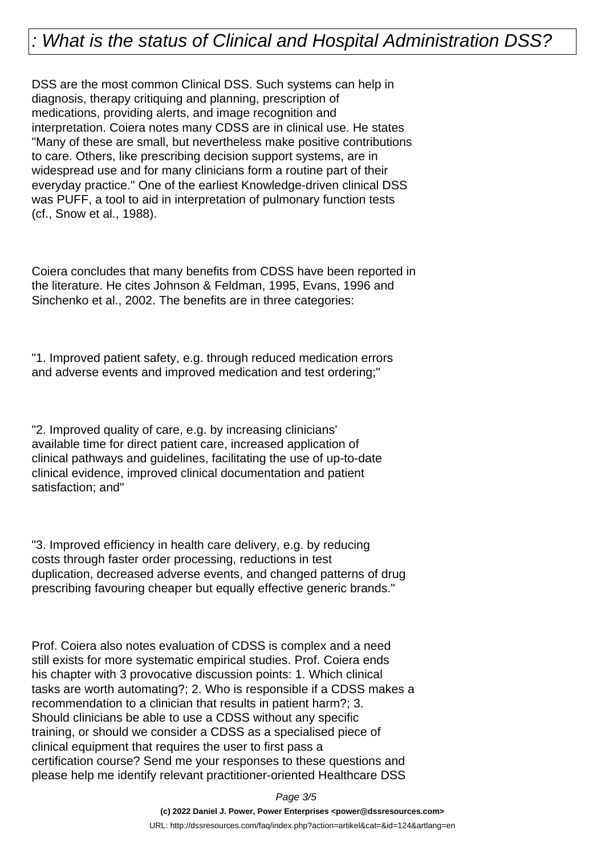DSS are the most common Clinical DSS. Such systems can help in diagnosis, therapy critiquing and planning, prescription of medications, providing alerts, and image recognition and interpretation. Coiera notes many CDSS are in clinical use. He states "Many of these are small, but nevertheless make positive contributions to care. Others, like prescribing decision support systems, are in widespread use and for many clinicians form a routine part of their everyday practice." One of the earliest Knowledge-driven clinical DSS was PUFF, a tool to aid in interpretation of pulmonary function tests (cf., Snow et al., 1988).

Coiera concludes that many benefits from CDSS have been reported in the literature. He cites Johnson & Feldman, 1995, Evans, 1996 and Sinchenko et al., 2002. The benefits are in three categories:

"1. Improved patient safety, e.g. through reduced medication errors and adverse events and improved medication and test ordering;"

"2. Improved quality of care, e.g. by increasing clinicians' available time for direct patient care, increased application of clinical pathways and guidelines, facilitating the use of up-to-date clinical evidence, improved clinical documentation and patient satisfaction; and"

"3. Improved efficiency in health care delivery, e.g. by reducing costs through faster order processing, reductions in test duplication, decreased adverse events, and changed patterns of drug prescribing favouring cheaper but equally effective generic brands."

Prof. Coiera also notes evaluation of CDSS is complex and a need still exists for more systematic empirical studies. Prof. Coiera ends his chapter with 3 provocative discussion points: 1. Which clinical tasks are worth automating?; 2. Who is responsible if a CDSS makes a recommendation to a clinician that results in patient harm?; 3. Should clinicians be able to use a CDSS without any specific training, or should we consider a CDSS as a specialised piece of clinical equipment that requires the user to first pass a certification course? Send me your responses to these questions and please help me identify relevant practitioner-oriented Healthcare DSS

Page 3/5

**(c) 2022 Daniel J. Power, Power Enterprises <power@dssresources.com>** URL: http://dssresources.com/faq/index.php?action=artikel&cat=&id=124&artlang=en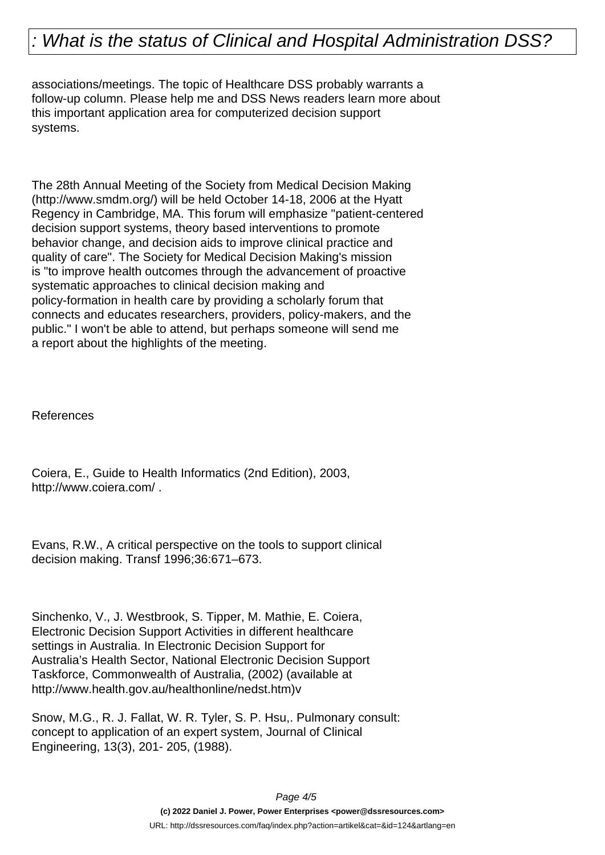associations/meetings. The topic of Healthcare DSS probably warrants a follow-up column. Please help me and DSS News readers learn more about this important application area for computerized decision support systems.

The 28th Annual Meeting of the Society from Medical Decision Making (http://www.smdm.org/) will be held October 14-18, 2006 at the Hyatt Regency in Cambridge, MA. This forum will emphasize "patient-centered decision support systems, theory based interventions to promote behavior change, and decision aids to improve clinical practice and quality of care". The Society for Medical Decision Making's mission is "to improve health outcomes through the advancement of proactive systematic approaches to clinical decision making and policy-formation in health care by providing a scholarly forum that connects and educates researchers, providers, policy-makers, and the public." I won't be able to attend, but perhaps someone will send me a report about the highlights of the meeting.

References

Coiera, E., Guide to Health Informatics (2nd Edition), 2003, http://www.coiera.com/ .

Evans, R.W., A critical perspective on the tools to support clinical decision making. Transf 1996;36:671–673.

Sinchenko, V., J. Westbrook, S. Tipper, M. Mathie, E. Coiera, Electronic Decision Support Activities in different healthcare settings in Australia. In Electronic Decision Support for Australia's Health Sector, National Electronic Decision Support Taskforce, Commonwealth of Australia, (2002) (available at http://www.health.gov.au/healthonline/nedst.htm)v

Snow, M.G., R. J. Fallat, W. R. Tyler, S. P. Hsu,. Pulmonary consult: concept to application of an expert system, Journal of Clinical Engineering, 13(3), 201- 205, (1988).